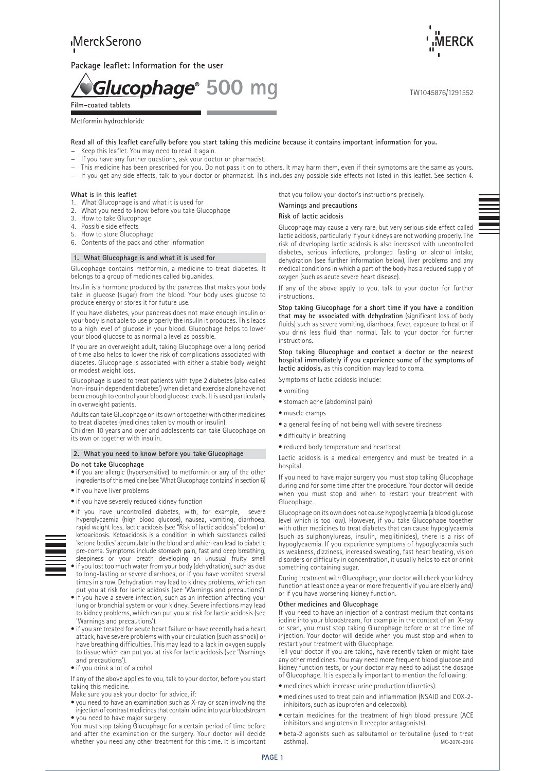**Package leaflet: Information for the user** 

Glucophage<sup>®</sup> 500 mq **Film-coated tablets**

# Metformin hydrochloride

**Read all of this leaflet carefully before you start taking this medicine because it contains important information for you.**

- Keep this leaflet. You may need to read it again.
- If you have any further questions, ask your doctor or pharmacist.
- This medicine has been prescribed for you. Do not pass it on to others. It may harm them, even if their symptoms are the same as yours.
- − If you get any side effects, talk to your doctor or pharmacist. This includes any possible side effects not listed in this leaflet. See section 4.

#### **What is in this leaflet**

- 1. What Glucophage is and what it is used for
- 2. What you need to know before you take Glucophage
- 3. How to take Glucophage<br>4 Possible side effects
- Possible side effects
- 5. How to store Glucophage
- 6. Contents of the pack and other information

#### **1. What Glucophage is and what it is used for**

Glucophage contains metformin, a medicine to treat diabetes. It belongs to a group of medicines called biguanides.

Insulin is a hormone produced by the pancreas that makes your body take in glucose (sugar) from the blood. Your body uses glucose to produce energy or stores it for future use.

If you have diabetes, your pancreas does not make enough insulin or your body is not able to use properly the insulin it produces. This leads to a high level of glucose in your blood. Glucophage helps to lower your blood glucose to as normal a level as possible.

If you are an overweight adult, taking Glucophage over a long period of time also helps to lower the risk of complications associated with diabetes. Glucophage is associated with either a stable body weight or modest weight loss.

Glucophage is used to treat patients with type 2 diabetes (also called 'non-insulin dependent diabetes') when diet and exercise alone have not been enough to control your blood glucose levels. It is used particularly in overweight patients.

Adults can take Glucophage on its own or together with other medicines to treat diabetes (medicines taken by mouth or insulin).

Children 10 years and over and adolescents can take Glucophage on its own or together with insulin.

# **2. What you need to know before you take Glucophage Do not take Glucophage**

• if you are allergic (hypersensitive) to metformin or any of the other ingredients of this medicine (see 'What Glucophage contains' in section 6)

- if you have liver problems
- if you have severely reduced kidney function
- if you have uncontrolled diabetes, with, for example, severe hyperglycaemia (high blood glucose), nausea, vomiting, diarrhoea, rapid weight loss, lactic acidosis (see "Risk of lactic acidosis" below) or ketoacidosis. Ketoacidosis is a condition in which substances called 'ketone bodies' accumulate in the blood and which can lead to diabetic pre-coma. Symptoms include stomach pain, fast and deep breathing, sleepiness or your breath developing an unusual fruity smell
- 
- if you lost too much water from your body (dehydration), such as due to long-lasting or severe diarrhoea, or if you have vomited several times in a row. Dehydration may lead to kidney problems, which can put you at risk for lactic acidosis (see 'Warnings and precautions').
- if you have a severe infection, such as an infection affecting your lung or bronchial system or your kidney. Severe infections may lead to kidney problems, which can put you at risk for lactic acidosis (see 'Warnings and precautions').
- if you are treated for acute heart failure or have recently had a heart attack, have severe problems with your circulation (such as shock) or have breathing difficulties. This may lead to a lack in oxygen supply to tissue which can put you at risk for lactic acidosis (see 'Warnings and precautions').
- if you drink a lot of alcohol

If any of the above applies to you, talk to your doctor, before you start taking this medicine.

- Make sure you ask your doctor for advice, if:
- you need to have an examination such as X-ray or scan involving the injection of contrast medicines that contain iodine into your bloodstream • you need to have major surgery

You must stop taking Glucophage for a certain period of time before and after the examination or the surgery. Your doctor will decide whether you need any other treatment for this time. It is important that you follow your doctor's instructions precisely.

# **Warnings and precautions**

# **Risk of lactic acidosis**

Glucophage may cause a very rare, but very serious side effect called lactic acidosis, particularly if your kidneys are not working properly. The risk of developing lactic acidosis is also increased with uncontrolled diabetes, serious infections, prolonged fasting or alcohol intake, dehydration (see further information below), liver problems and any medical conditions in which a part of the body has a reduced supply of oxygen (such as acute severe heart disease).

If any of the above apply to you, talk to your doctor for further instructions.

**Stop taking Glucophage for a short time if you have a condition that may be associated with dehydration** (significant loss of body fluids) such as severe vomiting, diarrhoea, fever, exposure to heat or if you drink less fluid than normal. Talk to your doctor for further instructions.

**Stop taking Glucophage and contact a doctor or the nearest hospital immediately if you experience some of the symptoms of lactic acidosis,** as this condition may lead to coma.

Symptoms of lactic acidosis include:

- vomiting
- stomach ache (abdominal pain)
- muscle cramps
- a general feeling of not being well with severe tiredness
- difficulty in breathing
- reduced body temperature and heartbeat

Lactic acidosis is a medical emergency and must be treated in a hospital.

If you need to have major surgery you must stop taking Glucophage during and for some time after the procedure. Your doctor will decide when you must stop and when to restart your treatment with Glucophage.

Glucophage on its own does not cause hypoglycaemia (a blood glucose level which is too low). However, if you take Glucophage together with other medicines to treat diabetes that can cause hypoglycaemia (such as sulphonylureas, insulin, meglitinides), there is a risk of hypoglycaemia. If you experience symptoms of hypoglycaemia such as weakness, dizziness, increased sweating, fast heart beating, vision disorders or difficulty in concentration, it usually helps to eat or drink something containing sugar.

During treatment with Glucophage, your doctor will check your kidney function at least once a year or more frequently if you are elderly and/ or if you have worsening kidney function.

### **Other medicines and Glucophage**

If you need to have an injection of a contrast medium that contains iodine into your bloodstream, for example in the context of an X-ray or scan, you must stop taking Glucophage before or at the time of injection. Your doctor will decide when you must stop and when to restart your treatment with Glucophage.

Tell your doctor if you are taking, have recently taken or might take any other medicines. You may need more frequent blood glucose and kidney function tests, or your doctor may need to adjust the dosage of Glucophage. It is especially important to mention the following:

- medicines which increase urine production (diuretics).
- medicines used to treat pain and inflammation (NSAID and COX-2 inhibitors, such as ibuprofen and celecoxib).
- certain medicines for the treatment of high blood pressure (ACE inhibitors and angiotensin II receptor antagonists).
- MC-2076-2016 • beta-2 agonists such as salbutamol or terbutaline (used to treat asthma).



TW1045876/1291552